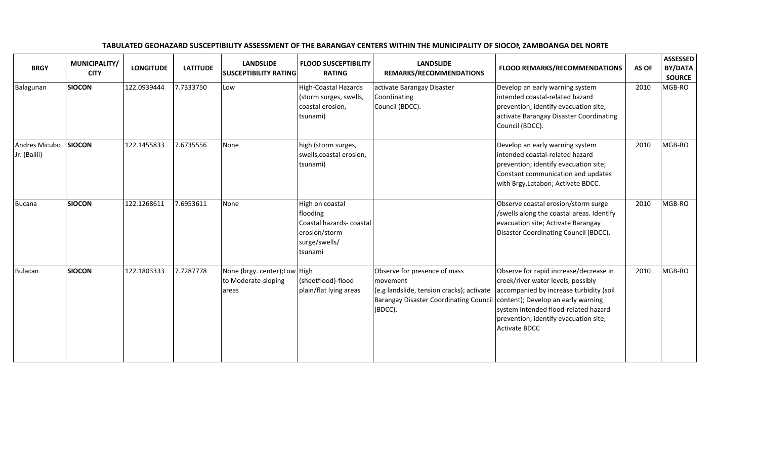| <b>BRGY</b>                   | MUNICIPALITY/<br><b>CITY</b> | <b>LONGITUDE</b> | <b>LATITUDE</b> | <b>LANDSLIDE</b><br><b>SUSCEPTIBILITY RATING</b>              | <b>FLOOD SUSCEPTIBILITY</b><br><b>RATING</b>                                                        | <b>LANDSLIDE</b><br>REMARKS/RECOMMENDATIONS                                                                                                       | <b>FLOOD REMARKS/RECOMMENDATIONS</b>                                                                                                                                                                                                                                   | AS OF | <b>ASSESSED</b><br>BY/DATA<br><b>SOURCE</b> |
|-------------------------------|------------------------------|------------------|-----------------|---------------------------------------------------------------|-----------------------------------------------------------------------------------------------------|---------------------------------------------------------------------------------------------------------------------------------------------------|------------------------------------------------------------------------------------------------------------------------------------------------------------------------------------------------------------------------------------------------------------------------|-------|---------------------------------------------|
| Balagunan                     | <b>SIOCON</b>                | 122.0939444      | 7.7333750       | Low                                                           | <b>High-Coastal Hazards</b><br>(storm surges, swells,<br>coastal erosion,<br>tsunami)               | activate Barangay Disaster<br>Coordinating<br>Council (BDCC).                                                                                     | Develop an early warning system<br>intended coastal-related hazard<br>prevention; identify evacuation site;<br>activate Barangay Disaster Coordinating<br>Council (BDCC).                                                                                              | 2010  | MGB-RO                                      |
| Andres Micubo<br>Jr. (Balili) | <b>SIOCON</b>                | 122.1455833      | 7.6735556       | None                                                          | high (storm surges,<br>swells, coastal erosion,<br>tsunami)                                         |                                                                                                                                                   | Develop an early warning system<br>intended coastal-related hazard<br>prevention; identify evacuation site;<br>Constant communication and updates<br>with Brgy.Latabon; Activate BDCC.                                                                                 | 2010  | MGB-RO                                      |
| <b>Bucana</b>                 | <b>SIOCON</b>                | 122.1268611      | 7.6953611       | None                                                          | High on coastal<br>flooding<br>Coastal hazards-coastal<br>erosion/storm<br>surge/swells/<br>tsunami |                                                                                                                                                   | Observe coastal erosion/storm surge<br>/swells along the coastal areas. Identify<br>evacuation site; Activate Barangay<br>Disaster Coordinating Council (BDCC).                                                                                                        | 2010  | MGB-RO                                      |
| Bulacan                       | <b>SIOCON</b>                | 122.1803333      | 7.7287778       | None (brgy. center); Low High<br>to Moderate-sloping<br>areas | (sheetflood)-flood<br>plain/flat lying areas                                                        | Observe for presence of mass<br>movement<br>(e.g landslide, tension cracks); activate<br><b>Barangay Disaster Coordinating Council</b><br>(BDCC). | Observe for rapid increase/decrease in<br>creek/river water levels, possibly<br>accompanied by increase turbidity (soil<br>content); Develop an early warning<br>system intended flood-related hazard<br>prevention; identify evacuation site;<br><b>Activate BDCC</b> | 2010  | MGB-RO                                      |

## TABULATED GEOHAZARD SUSCEPTIBILITY ASSESSMENT OF THE BARANGAY CENTERS WITHIN THE MUNICIPALITY OF SIOCON, ZAMBOANGA DEL NORTE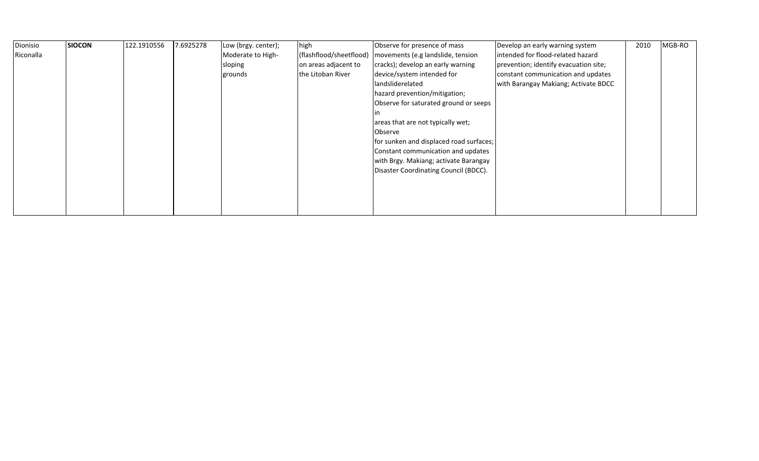| Dionisio  | <b>SIOCON</b> | 122.1910556 | 7.6925278 | Low (brgy. center); | high                    | Observe for presence of mass            | Develop an early warning system       | 2010 | MGB-RO |
|-----------|---------------|-------------|-----------|---------------------|-------------------------|-----------------------------------------|---------------------------------------|------|--------|
| Riconalla |               |             |           | Moderate to High-   | (flashflood/sheetflood) | movements (e.g landslide, tension       | intended for flood-related hazard     |      |        |
|           |               |             |           | sloping             | on areas adjacent to    | cracks); develop an early warning       | prevention; identify evacuation site; |      |        |
|           |               |             |           | grounds             | the Litoban River       | device/system intended for              | constant communication and updates    |      |        |
|           |               |             |           |                     |                         | landsliderelated                        | with Barangay Makiang; Activate BDCC  |      |        |
|           |               |             |           |                     |                         | hazard prevention/mitigation;           |                                       |      |        |
|           |               |             |           |                     |                         | Observe for saturated ground or seeps   |                                       |      |        |
|           |               |             |           |                     |                         |                                         |                                       |      |        |
|           |               |             |           |                     |                         | areas that are not typically wet;       |                                       |      |        |
|           |               |             |           |                     |                         | Observe                                 |                                       |      |        |
|           |               |             |           |                     |                         | for sunken and displaced road surfaces; |                                       |      |        |
|           |               |             |           |                     |                         | Constant communication and updates      |                                       |      |        |
|           |               |             |           |                     |                         | with Brgy. Makiang; activate Barangay   |                                       |      |        |
|           |               |             |           |                     |                         | Disaster Coordinating Council (BDCC).   |                                       |      |        |
|           |               |             |           |                     |                         |                                         |                                       |      |        |
|           |               |             |           |                     |                         |                                         |                                       |      |        |
|           |               |             |           |                     |                         |                                         |                                       |      |        |
|           |               |             |           |                     |                         |                                         |                                       |      |        |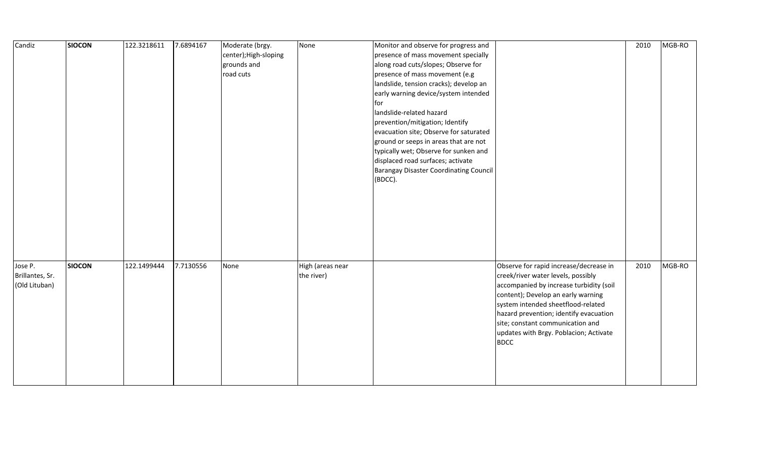| Candiz                                      | <b>SIOCON</b> | 122.3218611 | 7.6894167 | Moderate (brgy.<br>center); High-sloping<br>grounds and<br>road cuts | None                           | Monitor and observe for progress and<br>presence of mass movement specially<br>along road cuts/slopes; Observe for<br>presence of mass movement (e.g<br>landslide, tension cracks); develop an<br>early warning device/system intended<br>for<br>landslide-related hazard<br>prevention/mitigation; Identify<br>evacuation site; Observe for saturated<br>ground or seeps in areas that are not<br>typically wet; Observe for sunken and<br>displaced road surfaces; activate<br>Barangay Disaster Coordinating Council<br>(BDCC). | 2010 | MGB-RO |
|---------------------------------------------|---------------|-------------|-----------|----------------------------------------------------------------------|--------------------------------|------------------------------------------------------------------------------------------------------------------------------------------------------------------------------------------------------------------------------------------------------------------------------------------------------------------------------------------------------------------------------------------------------------------------------------------------------------------------------------------------------------------------------------|------|--------|
| Jose P.<br>Brillantes, Sr.<br>(Old Lituban) | <b>SIOCON</b> | 122.1499444 | 7.7130556 | None                                                                 | High (areas near<br>the river) | Observe for rapid increase/decrease in<br>creek/river water levels, possibly<br>accompanied by increase turbidity (soil<br>content); Develop an early warning<br>system intended sheetflood-related<br>hazard prevention; identify evacuation<br>site; constant communication and<br>updates with Brgy. Poblacion; Activate<br><b>BDCC</b>                                                                                                                                                                                         | 2010 | MGB-RO |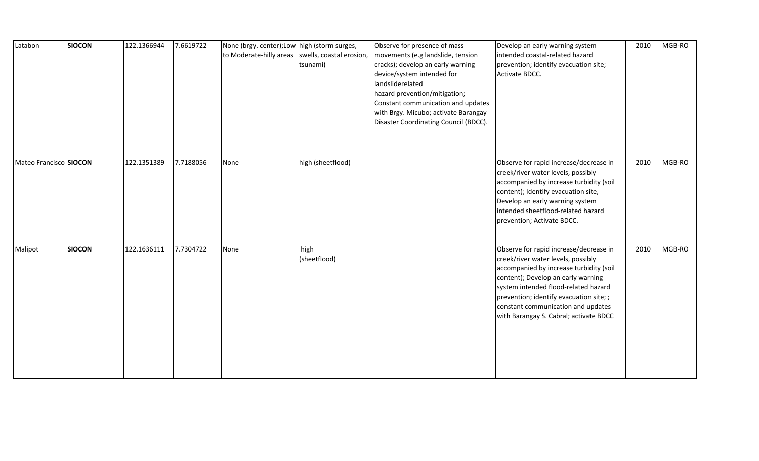| Latabon                | <b>SIOCON</b> | 122.1366944 | 7.6619722 | None (brgy. center); Low high (storm surges,<br>to Moderate-hilly areas   swells, coastal erosion, | tsunami)             | Observe for presence of mass<br>movements (e.g landslide, tension<br>cracks); develop an early warning<br>device/system intended for<br>landsliderelated<br>hazard prevention/mitigation;<br>Constant communication and updates<br>with Brgy. Micubo; activate Barangay<br>Disaster Coordinating Council (BDCC). | Develop an early warning system<br>intended coastal-related hazard<br>prevention; identify evacuation site;<br>Activate BDCC.                                                                                                                                                                                                    | 2010 | MGB-RO |
|------------------------|---------------|-------------|-----------|----------------------------------------------------------------------------------------------------|----------------------|------------------------------------------------------------------------------------------------------------------------------------------------------------------------------------------------------------------------------------------------------------------------------------------------------------------|----------------------------------------------------------------------------------------------------------------------------------------------------------------------------------------------------------------------------------------------------------------------------------------------------------------------------------|------|--------|
| Mateo Francisco SIOCON |               | 122.1351389 | 7.7188056 | None                                                                                               | high (sheetflood)    |                                                                                                                                                                                                                                                                                                                  | Observe for rapid increase/decrease in<br>creek/river water levels, possibly<br>accompanied by increase turbidity (soil<br>content); Identify evacuation site,<br>Develop an early warning system<br>intended sheetflood-related hazard<br>prevention; Activate BDCC.                                                            | 2010 | MGB-RO |
| Malipot                | <b>SIOCON</b> | 122.1636111 | 7.7304722 | None                                                                                               | high<br>(sheetflood) |                                                                                                                                                                                                                                                                                                                  | Observe for rapid increase/decrease in<br>creek/river water levels, possibly<br>accompanied by increase turbidity (soil<br>content); Develop an early warning<br>system intended flood-related hazard<br>prevention; identify evacuation site; ;<br>constant communication and updates<br>with Barangay S. Cabral; activate BDCC | 2010 | MGB-RO |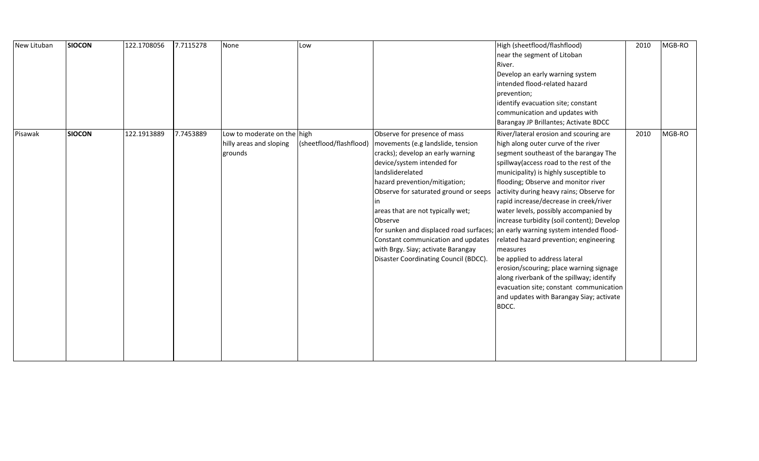| New Lituban | <b>SIOCON</b> | 122.1708056 | 7.7115278 | None                                                              | Low                     |                                                                                                                                                                                                                                                                                                                                                                                                                | High (sheetflood/flashflood)<br>near the segment of Litoban<br>River.<br>Develop an early warning system<br>intended flood-related hazard<br>prevention;<br>identify evacuation site; constant<br>communication and updates with<br>Barangay JP Brillantes; Activate BDCC                                                                                                                                                                                                                                                                                                                                                                                                                                                                                                                          | 2010 | MGB-RO |
|-------------|---------------|-------------|-----------|-------------------------------------------------------------------|-------------------------|----------------------------------------------------------------------------------------------------------------------------------------------------------------------------------------------------------------------------------------------------------------------------------------------------------------------------------------------------------------------------------------------------------------|----------------------------------------------------------------------------------------------------------------------------------------------------------------------------------------------------------------------------------------------------------------------------------------------------------------------------------------------------------------------------------------------------------------------------------------------------------------------------------------------------------------------------------------------------------------------------------------------------------------------------------------------------------------------------------------------------------------------------------------------------------------------------------------------------|------|--------|
| Pisawak     | <b>SIOCON</b> | 122.1913889 | 7.7453889 | Low to moderate on the high<br>hilly areas and sloping<br>grounds | (sheetflood/flashflood) | Observe for presence of mass<br>movements (e.g landslide, tension<br>cracks); develop an early warning<br>device/system intended for<br>landsliderelated<br>hazard prevention/mitigation;<br>Observe for saturated ground or seeps<br>areas that are not typically wet;<br><b>Observe</b><br>Constant communication and updates<br>with Brgy. Siay; activate Barangay<br>Disaster Coordinating Council (BDCC). | River/lateral erosion and scouring are<br>high along outer curve of the river<br>segment southeast of the barangay The<br>spillway (access road to the rest of the<br>municipality) is highly susceptible to<br>flooding; Observe and monitor river<br>activity during heavy rains; Observe for<br>rapid increase/decrease in creek/river<br>water levels, possibly accompanied by<br>increase turbidity (soil content); Develop<br>for sunken and displaced road surfaces; an early warning system intended flood-<br>related hazard prevention; engineering<br>measures<br>be applied to address lateral<br>erosion/scouring; place warning signage<br>along riverbank of the spillway; identify<br>evacuation site; constant communication<br>and updates with Barangay Siay; activate<br>BDCC. | 2010 | MGB-RO |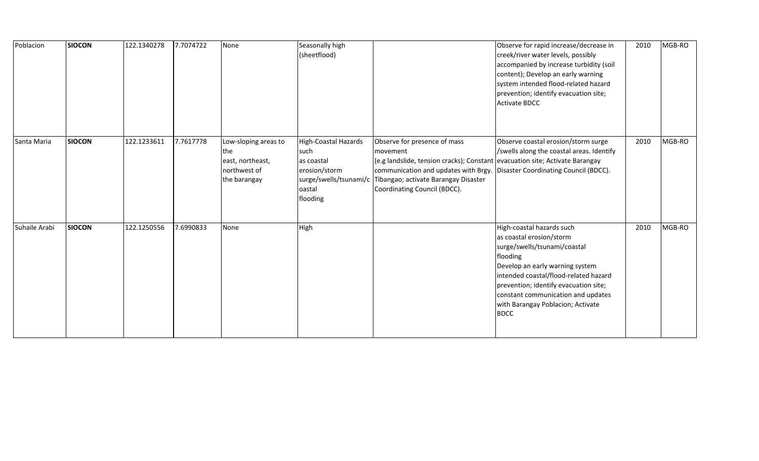| Poblacion     | <b>SIOCON</b> | 122.1340278 | 7.7074722 | None                                                                            | Seasonally high<br>(sheetflood)                                                                                    |                                                                                                                                                                                                                                                                                | Observe for rapid increase/decrease in<br>creek/river water levels, possibly<br>accompanied by increase turbidity (soil<br>content); Develop an early warning<br>system intended flood-related hazard<br>prevention; identify evacuation site;<br><b>Activate BDCC</b>                                           | 2010 | MGB-RO |
|---------------|---------------|-------------|-----------|---------------------------------------------------------------------------------|--------------------------------------------------------------------------------------------------------------------|--------------------------------------------------------------------------------------------------------------------------------------------------------------------------------------------------------------------------------------------------------------------------------|------------------------------------------------------------------------------------------------------------------------------------------------------------------------------------------------------------------------------------------------------------------------------------------------------------------|------|--------|
| Santa Maria   | <b>SIOCON</b> | 122.1233611 | 7.7617778 | Low-sloping areas to<br>the<br>east, northeast,<br>northwest of<br>the barangay | <b>High-Coastal Hazards</b><br>such<br>as coastal<br>erosion/storm<br>surge/swells/tsunami/c<br>oastal<br>flooding | Observe for presence of mass<br>movement<br>(e.g landslide, tension cracks); Constant evacuation site; Activate Barangay<br>communication and updates with Brgy. Disaster Coordinating Council (BDCC).<br>Tibangao; activate Barangay Disaster<br>Coordinating Council (BDCC). | Observe coastal erosion/storm surge<br>/swells along the coastal areas. Identify                                                                                                                                                                                                                                 | 2010 | MGB-RO |
| Suhaile Arabi | <b>SIOCON</b> | 122.1250556 | 7.6990833 | None                                                                            | High                                                                                                               |                                                                                                                                                                                                                                                                                | High-coastal hazards such<br>as coastal erosion/storm<br>surge/swells/tsunami/coastal<br>flooding<br>Develop an early warning system<br>intended coastal/flood-related hazard<br>prevention; identify evacuation site;<br>constant communication and updates<br>with Barangay Poblacion; Activate<br><b>BDCC</b> | 2010 | MGB-RO |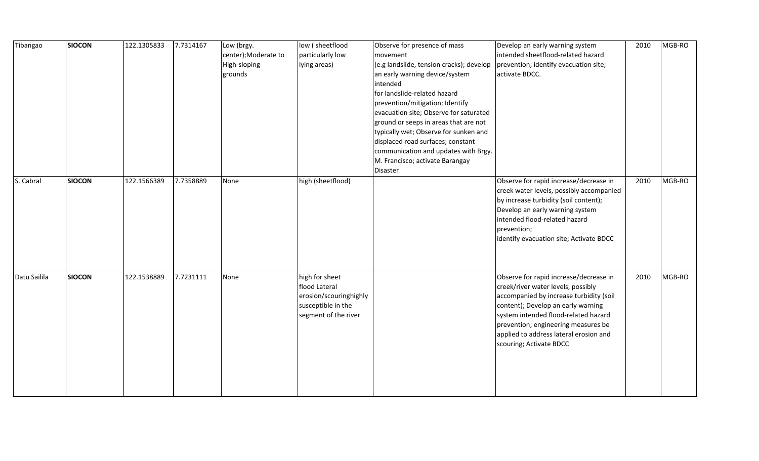| Tibangao     | <b>SIOCON</b> | 122.1305833 | 7.7314167 | Low (brgy.<br>center);Moderate to<br>High-sloping<br>grounds | low (sheetflood<br>particularly low<br>lying areas)                                                     | Observe for presence of mass<br>movement<br>(e.g landslide, tension cracks); develop<br>an early warning device/system<br>intended<br>for landslide-related hazard<br>prevention/mitigation; Identify<br>evacuation site; Observe for saturated<br>ground or seeps in areas that are not<br>typically wet; Observe for sunken and<br>displaced road surfaces; constant<br>communication and updates with Brgy.<br>M. Francisco; activate Barangay<br>Disaster | Develop an early warning system<br>intended sheetflood-related hazard<br>prevention; identify evacuation site;<br>activate BDCC.                                                                                                                                                                                  | 2010 | MGB-RO |
|--------------|---------------|-------------|-----------|--------------------------------------------------------------|---------------------------------------------------------------------------------------------------------|---------------------------------------------------------------------------------------------------------------------------------------------------------------------------------------------------------------------------------------------------------------------------------------------------------------------------------------------------------------------------------------------------------------------------------------------------------------|-------------------------------------------------------------------------------------------------------------------------------------------------------------------------------------------------------------------------------------------------------------------------------------------------------------------|------|--------|
| S. Cabral    | <b>SIOCON</b> | 122.1566389 | 7.7358889 | None                                                         | high (sheetflood)                                                                                       |                                                                                                                                                                                                                                                                                                                                                                                                                                                               | Observe for rapid increase/decrease in<br>creek water levels, possibly accompanied<br>by increase turbidity (soil content);<br>Develop an early warning system<br>intended flood-related hazard<br>prevention;<br>identify evacuation site; Activate BDCC                                                         | 2010 | MGB-RO |
| Datu Sailila | <b>SIOCON</b> | 122.1538889 | 7.7231111 | None                                                         | high for sheet<br>flood Lateral<br>erosion/scouringhighly<br>susceptible in the<br>segment of the river |                                                                                                                                                                                                                                                                                                                                                                                                                                                               | Observe for rapid increase/decrease in<br>creek/river water levels, possibly<br>accompanied by increase turbidity (soil<br>content); Develop an early warning<br>system intended flood-related hazard<br>prevention; engineering measures be<br>applied to address lateral erosion and<br>scouring; Activate BDCC | 2010 | MGB-RO |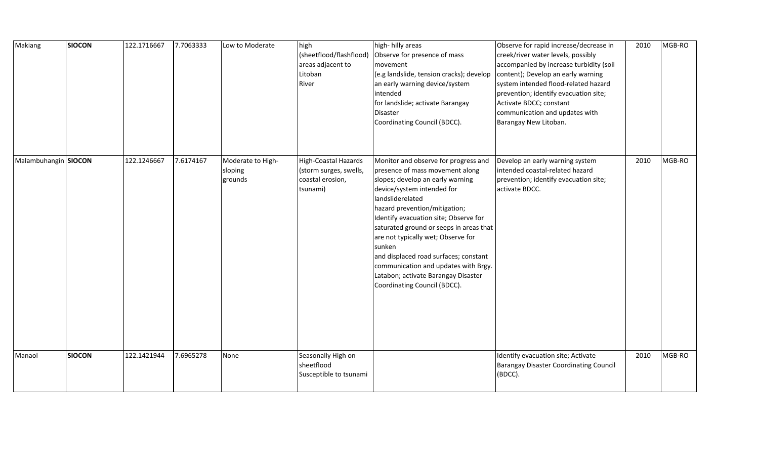| Makiang              | <b>SIOCON</b> | 122.1716667 | 7.7063333 | Low to Moderate                         | high<br>(sheetflood/flashflood)<br>areas adjacent to<br>Litoban<br>River       | high-hilly areas<br>Observe for presence of mass<br>movement<br>(e.g landslide, tension cracks); develop<br>an early warning device/system<br>intended<br>for landslide; activate Barangay<br><b>Disaster</b>                                                                                                                                                                                                                                                                              | Observe for rapid increase/decrease in<br>creek/river water levels, possibly<br>accompanied by increase turbidity (soil<br>content); Develop an early warning<br>system intended flood-related hazard<br>prevention; identify evacuation site;<br>Activate BDCC; constant<br>communication and updates with | 2010 | MGB-RO |
|----------------------|---------------|-------------|-----------|-----------------------------------------|--------------------------------------------------------------------------------|--------------------------------------------------------------------------------------------------------------------------------------------------------------------------------------------------------------------------------------------------------------------------------------------------------------------------------------------------------------------------------------------------------------------------------------------------------------------------------------------|-------------------------------------------------------------------------------------------------------------------------------------------------------------------------------------------------------------------------------------------------------------------------------------------------------------|------|--------|
|                      |               |             |           |                                         |                                                                                | Coordinating Council (BDCC).                                                                                                                                                                                                                                                                                                                                                                                                                                                               | Barangay New Litoban.                                                                                                                                                                                                                                                                                       |      |        |
| Malambuhangin SIOCON |               | 122.1246667 | 7.6174167 | Moderate to High-<br>sloping<br>grounds | High-Coastal Hazards<br>(storm surges, swells,<br>coastal erosion,<br>tsunami) | Monitor and observe for progress and<br>presence of mass movement along<br>slopes; develop an early warning<br>device/system intended for<br>landsliderelated<br>hazard prevention/mitigation;<br>Identify evacuation site; Observe for<br>saturated ground or seeps in areas that<br>are not typically wet; Observe for<br>sunken<br>and displaced road surfaces; constant<br>communication and updates with Brgy.<br>Latabon; activate Barangay Disaster<br>Coordinating Council (BDCC). | Develop an early warning system<br>intended coastal-related hazard<br>prevention; identify evacuation site;<br>activate BDCC.                                                                                                                                                                               | 2010 | MGB-RO |
| Manaol               | <b>SIOCON</b> | 122.1421944 | 7.6965278 | None                                    | Seasonally High on<br>sheetflood<br>Susceptible to tsunami                     |                                                                                                                                                                                                                                                                                                                                                                                                                                                                                            | Identify evacuation site; Activate<br><b>Barangay Disaster Coordinating Council</b><br>(BDCC).                                                                                                                                                                                                              | 2010 | MGB-RO |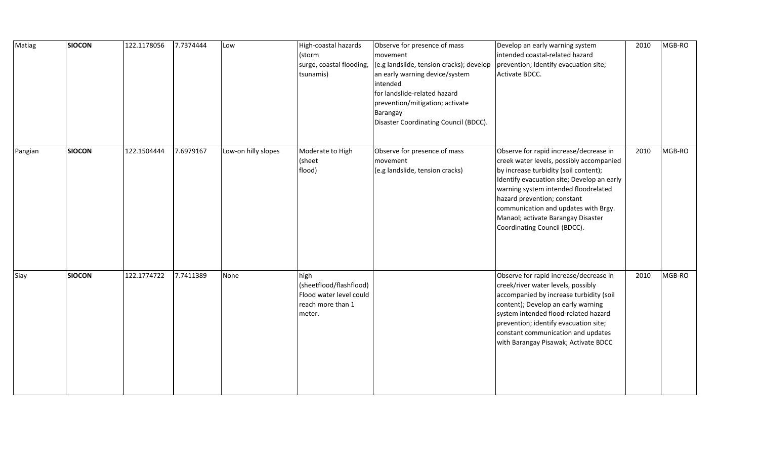| Matiag  | <b>SIOCON</b> | 122.1178056 | 7.7374444 | Low                 | High-coastal hazards<br>(storm<br>surge, coastal flooding,<br>tsunamis)                   | Observe for presence of mass<br>movement<br>(e.g landslide, tension cracks); develop<br>an early warning device/system<br>intended<br>for landslide-related hazard<br>prevention/mitigation; activate<br>Barangay<br>Disaster Coordinating Council (BDCC). | Develop an early warning system<br>intended coastal-related hazard<br>prevention; Identify evacuation site;<br>Activate BDCC.                                                                                                                                                                                                                                  | 2010 | MGB-RO |
|---------|---------------|-------------|-----------|---------------------|-------------------------------------------------------------------------------------------|------------------------------------------------------------------------------------------------------------------------------------------------------------------------------------------------------------------------------------------------------------|----------------------------------------------------------------------------------------------------------------------------------------------------------------------------------------------------------------------------------------------------------------------------------------------------------------------------------------------------------------|------|--------|
| Pangian | <b>SIOCON</b> | 122.1504444 | 7.6979167 | Low-on hilly slopes | Moderate to High<br>(sheet<br>flood)                                                      | Observe for presence of mass<br>movement<br>(e.g landslide, tension cracks)                                                                                                                                                                                | Observe for rapid increase/decrease in<br>creek water levels, possibly accompanied<br>by increase turbidity (soil content);<br>Identify evacuation site; Develop an early<br>warning system intended floodrelated<br>hazard prevention; constant<br>communication and updates with Brgy.<br>Manaol; activate Barangay Disaster<br>Coordinating Council (BDCC). | 2010 | MGB-RO |
| Siay    | <b>SIOCON</b> | 122.1774722 | 7.7411389 | None                | high<br>(sheetflood/flashflood)<br>Flood water level could<br>reach more than 1<br>meter. |                                                                                                                                                                                                                                                            | Observe for rapid increase/decrease in<br>creek/river water levels, possibly<br>accompanied by increase turbidity (soil<br>content); Develop an early warning<br>system intended flood-related hazard<br>prevention; identify evacuation site;<br>constant communication and updates<br>with Barangay Pisawak; Activate BDCC                                   | 2010 | MGB-RO |